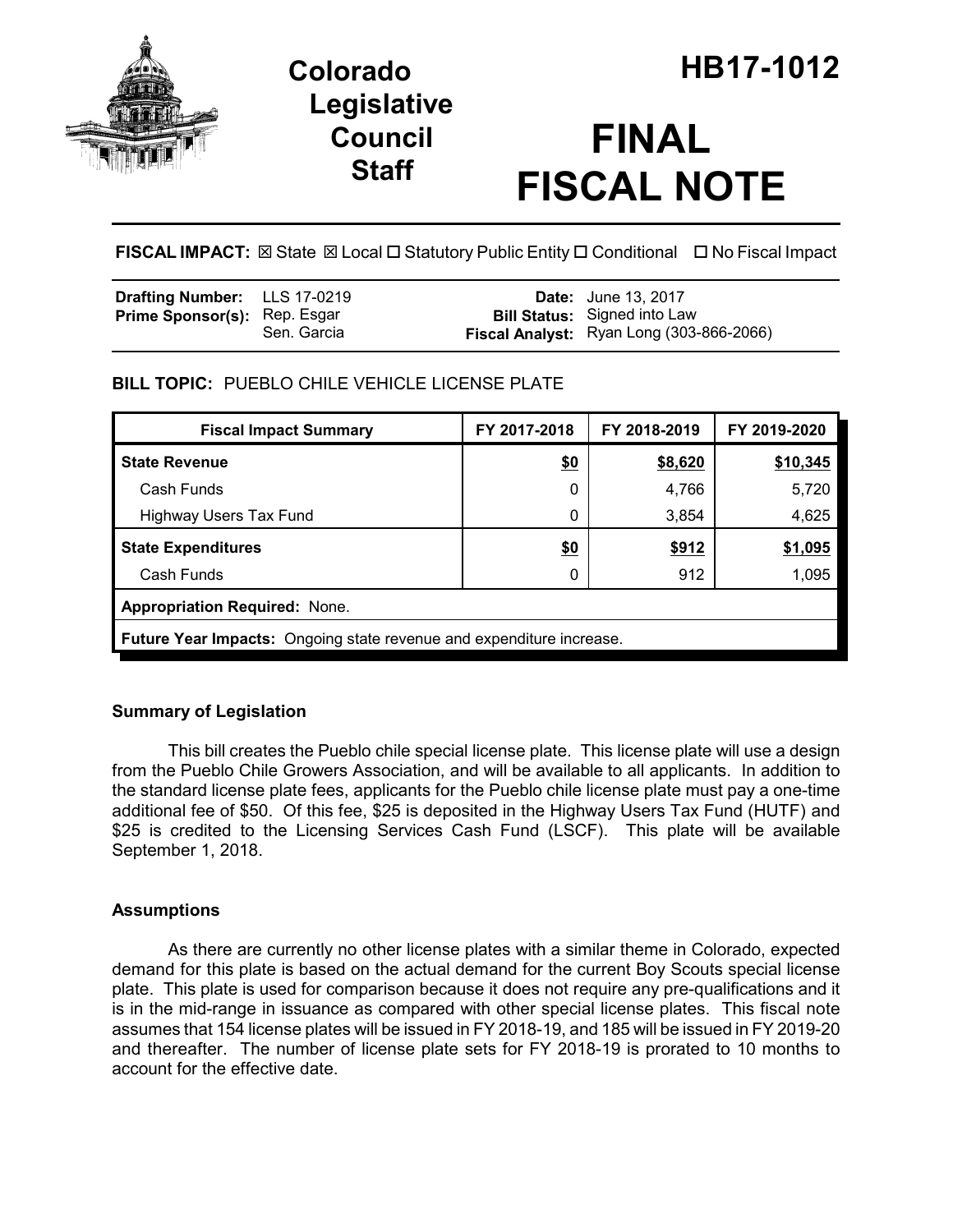

## **Legislative Council Staff**

# **FINAL FISCAL NOTE**

**FISCAL IMPACT: ⊠** State **⊠** Local □ Statutory Public Entity □ Conditional □ No Fiscal Impact

| <b>Drafting Number:</b> LLS 17-0219 |             | <b>Date:</b> June 13, 2017                                                      |
|-------------------------------------|-------------|---------------------------------------------------------------------------------|
| <b>Prime Sponsor(s):</b> Rep. Esgar | Sen. Garcia | <b>Bill Status:</b> Signed into Law<br>Fiscal Analyst: Ryan Long (303-866-2066) |

## **BILL TOPIC:** PUEBLO CHILE VEHICLE LICENSE PLATE

| <b>Fiscal Impact Summary</b>                                         | FY 2017-2018 | FY 2018-2019 | FY 2019-2020 |  |
|----------------------------------------------------------------------|--------------|--------------|--------------|--|
| <b>State Revenue</b>                                                 | \$0          | \$8,620      | \$10,345     |  |
| Cash Funds                                                           | 0            | 4,766        | 5,720        |  |
| <b>Highway Users Tax Fund</b>                                        | 0            | 3,854        | 4,625        |  |
| <b>State Expenditures</b>                                            | \$0          | \$912        | \$1,095      |  |
| Cash Funds                                                           | 0            | 912          | 1,095        |  |
| <b>Appropriation Required: None.</b>                                 |              |              |              |  |
| Future Year Impacts: Ongoing state revenue and expenditure increase. |              |              |              |  |

## **Summary of Legislation**

This bill creates the Pueblo chile special license plate. This license plate will use a design from the Pueblo Chile Growers Association, and will be available to all applicants. In addition to the standard license plate fees, applicants for the Pueblo chile license plate must pay a one-time additional fee of \$50. Of this fee, \$25 is deposited in the Highway Users Tax Fund (HUTF) and \$25 is credited to the Licensing Services Cash Fund (LSCF). This plate will be available September 1, 2018.

### **Assumptions**

As there are currently no other license plates with a similar theme in Colorado, expected demand for this plate is based on the actual demand for the current Boy Scouts special license plate. This plate is used for comparison because it does not require any pre-qualifications and it is in the mid-range in issuance as compared with other special license plates. This fiscal note assumes that 154 license plates will be issued in FY 2018-19, and 185 will be issued in FY 2019-20 and thereafter. The number of license plate sets for FY 2018-19 is prorated to 10 months to account for the effective date.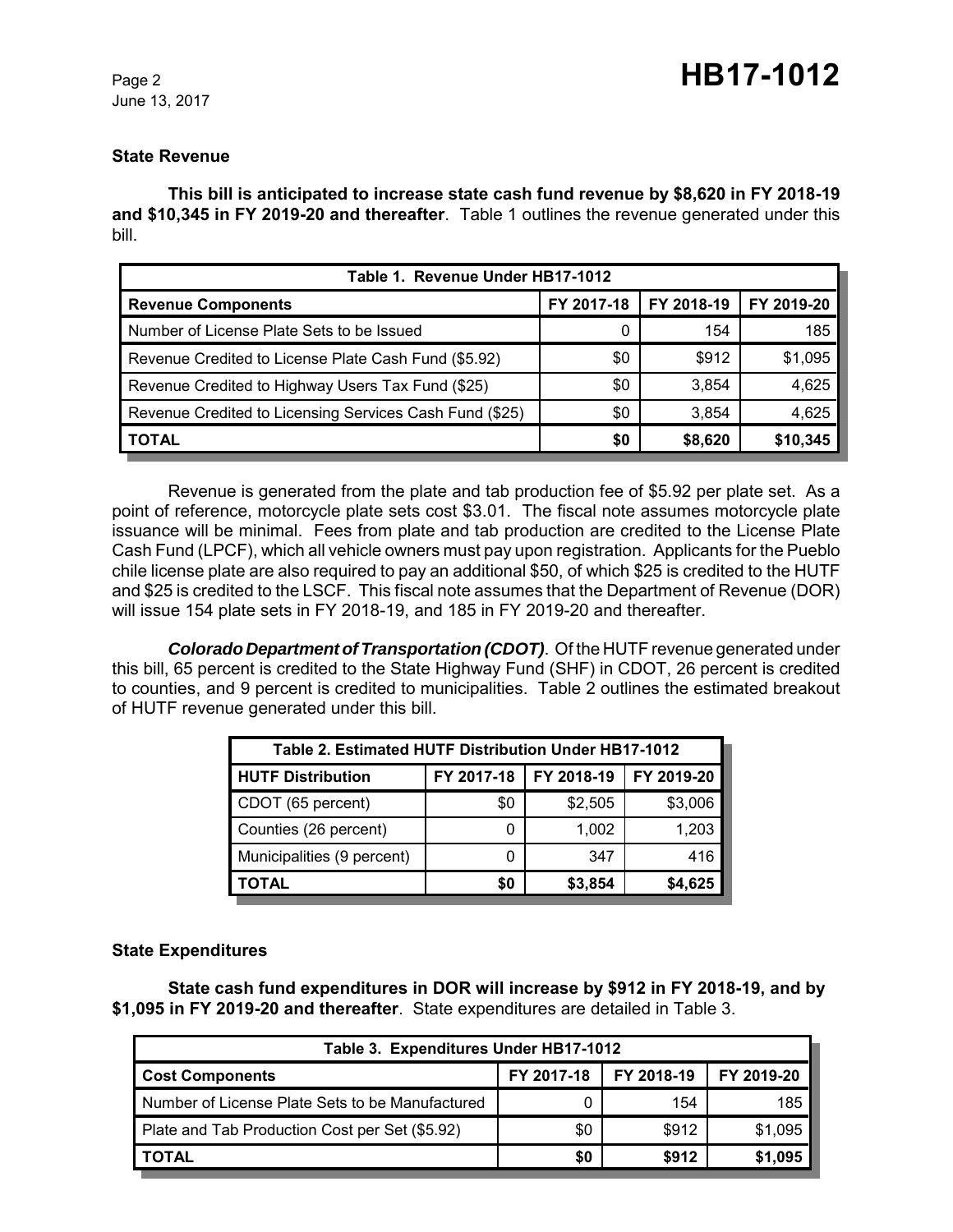#### **State Revenue**

**This bill is anticipated to increase state cash fund revenue by \$8,620 in FY 2018-19 and \$10,345 in FY 2019-20 and thereafter**. Table 1 outlines the revenue generated under this bill.

| Table 1. Revenue Under HB17-1012                        |            |            |            |  |  |
|---------------------------------------------------------|------------|------------|------------|--|--|
| <b>Revenue Components</b>                               | FY 2017-18 | FY 2018-19 | FY 2019-20 |  |  |
| Number of License Plate Sets to be Issued               |            | 154        | 185        |  |  |
| Revenue Credited to License Plate Cash Fund (\$5.92)    | \$0        | \$912      | \$1,095    |  |  |
| Revenue Credited to Highway Users Tax Fund (\$25)       | \$0        | 3,854      | 4,625      |  |  |
| Revenue Credited to Licensing Services Cash Fund (\$25) | \$0        | 3,854      | 4,625      |  |  |
| <b>TOTAL</b>                                            | \$0        | \$8,620    | \$10,345   |  |  |

Revenue is generated from the plate and tab production fee of \$5.92 per plate set. As a point of reference, motorcycle plate sets cost \$3.01. The fiscal note assumes motorcycle plate issuance will be minimal. Fees from plate and tab production are credited to the License Plate Cash Fund (LPCF), which all vehicle owners must pay upon registration. Applicants for the Pueblo chile license plate are also required to pay an additional \$50, of which \$25 is credited to the HUTF and \$25 is credited to the LSCF. This fiscal note assumes that the Department of Revenue (DOR) will issue 154 plate sets in FY 2018-19, and 185 in FY 2019-20 and thereafter.

*Colorado Department of Transportation (CDOT)*. Of the HUTF revenue generated under this bill, 65 percent is credited to the State Highway Fund (SHF) in CDOT, 26 percent is credited to counties, and 9 percent is credited to municipalities. Table 2 outlines the estimated breakout of HUTF revenue generated under this bill.

| Table 2. Estimated HUTF Distribution Under HB17-1012 |            |            |            |  |
|------------------------------------------------------|------------|------------|------------|--|
| <b>HUTF Distribution</b>                             | FY 2017-18 | FY 2018-19 | FY 2019-20 |  |
| CDOT (65 percent)                                    | \$0        | \$2,505    | \$3,006    |  |
| Counties (26 percent)                                | 0          | 1,002      | 1,203      |  |
| Municipalities (9 percent)                           | 0          | 347        | 416        |  |
| 'OTAL                                                | \$0        | \$3,854    | \$4,625    |  |

#### **State Expenditures**

**State cash fund expenditures in DOR will increase by \$912 in FY 2018-19, and by \$1,095 in FY 2019-20 and thereafter**. State expenditures are detailed in Table 3.

| Table 3. Expenditures Under HB17-1012           |            |            |            |  |  |
|-------------------------------------------------|------------|------------|------------|--|--|
| <b>Cost Components</b>                          | FY 2017-18 | FY 2018-19 | FY 2019-20 |  |  |
| Number of License Plate Sets to be Manufactured | 0          | 154        | 185        |  |  |
| Plate and Tab Production Cost per Set (\$5.92)  | \$0        | \$912      | \$1,095    |  |  |
| <b>TOTAL</b>                                    | \$0        | \$912      | \$1,095    |  |  |